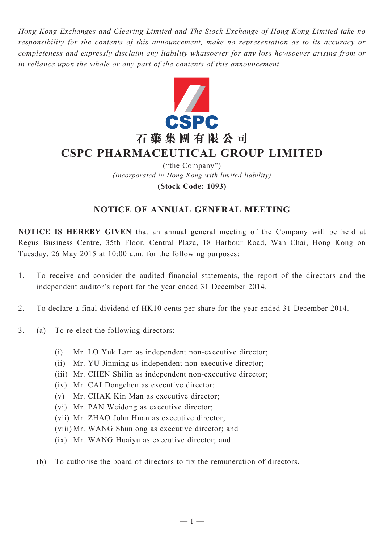*Hong Kong Exchanges and Clearing Limited and The Stock Exchange of Hong Kong Limited take no responsibility for the contents of this announcement, make no representation as to its accuracy or completeness and expressly disclaim any liability whatsoever for any loss howsoever arising from or in reliance upon the whole or any part of the contents of this announcement.*



# **石 藥 集 團 有 限 公 司 CSPC PHARMACEUTICAL GROUP LIMITED**

("the Company") *(Incorporated in Hong Kong with limited liability)* **(Stock Code: 1093)**

## **NOTICE OF ANNUAL GENERAL MEETING**

**NOTICE IS HEREBY GIVEN** that an annual general meeting of the Company will be held at Regus Business Centre, 35th Floor, Central Plaza, 18 Harbour Road, Wan Chai, Hong Kong on Tuesday, 26 May 2015 at 10:00 a.m. for the following purposes:

- 1. To receive and consider the audited financial statements, the report of the directors and the independent auditor's report for the year ended 31 December 2014.
- 2. To declare a final dividend of HK10 cents per share for the year ended 31 December 2014.
- 3. (a) To re-elect the following directors:
	- (i) Mr. LO Yuk Lam as independent non-executive director;
	- (ii) Mr. YU Jinming as independent non-executive director;
	- (iii) Mr. CHEN Shilin as independent non-executive director;
	- (iv) Mr. CAI Dongchen as executive director;
	- (v) Mr. CHAK Kin Man as executive director;
	- (vi) Mr. PAN Weidong as executive director;
	- (vii) Mr. ZHAO John Huan as executive director;
	- (viii) Mr. WANG Shunlong as executive director; and
	- (ix) Mr. WANG Huaiyu as executive director; and
	- (b) To authorise the board of directors to fix the remuneration of directors.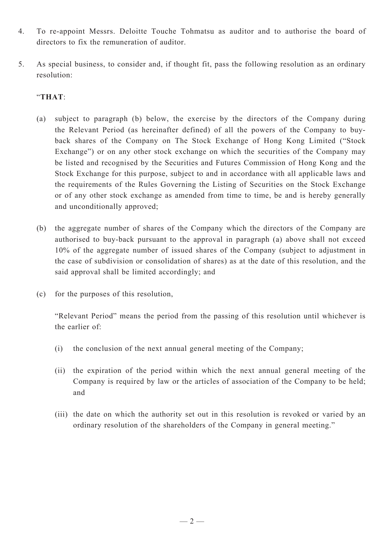- 4. To re-appoint Messrs. Deloitte Touche Tohmatsu as auditor and to authorise the board of directors to fix the remuneration of auditor.
- 5. As special business, to consider and, if thought fit, pass the following resolution as an ordinary resolution:

### "**THAT**:

- (a) subject to paragraph (b) below, the exercise by the directors of the Company during the Relevant Period (as hereinafter defined) of all the powers of the Company to buyback shares of the Company on The Stock Exchange of Hong Kong Limited ("Stock Exchange") or on any other stock exchange on which the securities of the Company may be listed and recognised by the Securities and Futures Commission of Hong Kong and the Stock Exchange for this purpose, subject to and in accordance with all applicable laws and the requirements of the Rules Governing the Listing of Securities on the Stock Exchange or of any other stock exchange as amended from time to time, be and is hereby generally and unconditionally approved;
- (b) the aggregate number of shares of the Company which the directors of the Company are authorised to buy-back pursuant to the approval in paragraph (a) above shall not exceed 10% of the aggregate number of issued shares of the Company (subject to adjustment in the case of subdivision or consolidation of shares) as at the date of this resolution, and the said approval shall be limited accordingly; and
- (c) for the purposes of this resolution,

"Relevant Period" means the period from the passing of this resolution until whichever is the earlier of:

- (i) the conclusion of the next annual general meeting of the Company;
- (ii) the expiration of the period within which the next annual general meeting of the Company is required by law or the articles of association of the Company to be held; and
- (iii) the date on which the authority set out in this resolution is revoked or varied by an ordinary resolution of the shareholders of the Company in general meeting."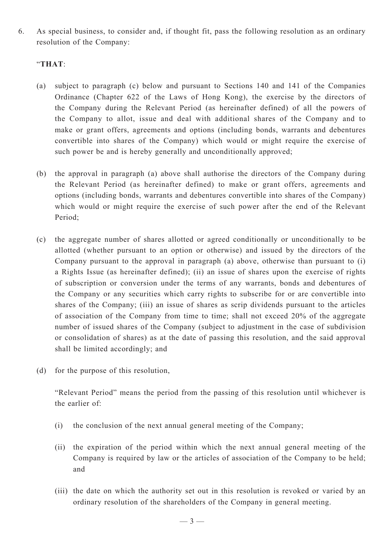6. As special business, to consider and, if thought fit, pass the following resolution as an ordinary resolution of the Company:

#### "**THAT**:

- (a) subject to paragraph (c) below and pursuant to Sections 140 and 141 of the Companies Ordinance (Chapter 622 of the Laws of Hong Kong), the exercise by the directors of the Company during the Relevant Period (as hereinafter defined) of all the powers of the Company to allot, issue and deal with additional shares of the Company and to make or grant offers, agreements and options (including bonds, warrants and debentures convertible into shares of the Company) which would or might require the exercise of such power be and is hereby generally and unconditionally approved;
- (b) the approval in paragraph (a) above shall authorise the directors of the Company during the Relevant Period (as hereinafter defined) to make or grant offers, agreements and options (including bonds, warrants and debentures convertible into shares of the Company) which would or might require the exercise of such power after the end of the Relevant Period;
- (c) the aggregate number of shares allotted or agreed conditionally or unconditionally to be allotted (whether pursuant to an option or otherwise) and issued by the directors of the Company pursuant to the approval in paragraph (a) above, otherwise than pursuant to (i) a Rights Issue (as hereinafter defined); (ii) an issue of shares upon the exercise of rights of subscription or conversion under the terms of any warrants, bonds and debentures of the Company or any securities which carry rights to subscribe for or are convertible into shares of the Company; (iii) an issue of shares as scrip dividends pursuant to the articles of association of the Company from time to time; shall not exceed 20% of the aggregate number of issued shares of the Company (subject to adjustment in the case of subdivision or consolidation of shares) as at the date of passing this resolution, and the said approval shall be limited accordingly; and
- (d) for the purpose of this resolution,

"Relevant Period" means the period from the passing of this resolution until whichever is the earlier of:

- (i) the conclusion of the next annual general meeting of the Company;
- (ii) the expiration of the period within which the next annual general meeting of the Company is required by law or the articles of association of the Company to be held; and
- (iii) the date on which the authority set out in this resolution is revoked or varied by an ordinary resolution of the shareholders of the Company in general meeting.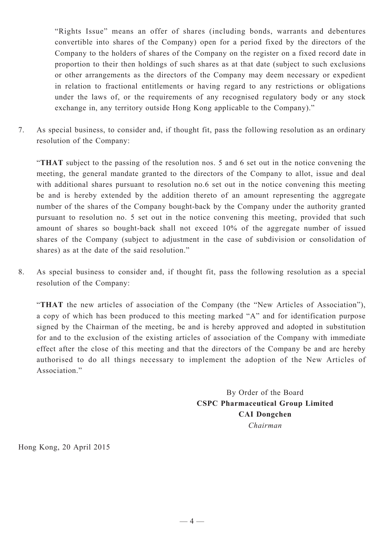"Rights Issue" means an offer of shares (including bonds, warrants and debentures convertible into shares of the Company) open for a period fixed by the directors of the Company to the holders of shares of the Company on the register on a fixed record date in proportion to their then holdings of such shares as at that date (subject to such exclusions or other arrangements as the directors of the Company may deem necessary or expedient in relation to fractional entitlements or having regard to any restrictions or obligations under the laws of, or the requirements of any recognised regulatory body or any stock exchange in, any territory outside Hong Kong applicable to the Company)."

7. As special business, to consider and, if thought fit, pass the following resolution as an ordinary resolution of the Company:

"**THAT** subject to the passing of the resolution nos. 5 and 6 set out in the notice convening the meeting, the general mandate granted to the directors of the Company to allot, issue and deal with additional shares pursuant to resolution no.6 set out in the notice convening this meeting be and is hereby extended by the addition thereto of an amount representing the aggregate number of the shares of the Company bought-back by the Company under the authority granted pursuant to resolution no. 5 set out in the notice convening this meeting, provided that such amount of shares so bought-back shall not exceed 10% of the aggregate number of issued shares of the Company (subject to adjustment in the case of subdivision or consolidation of shares) as at the date of the said resolution."

8. As special business to consider and, if thought fit, pass the following resolution as a special resolution of the Company:

"**THAT** the new articles of association of the Company (the "New Articles of Association"), a copy of which has been produced to this meeting marked "A" and for identification purpose signed by the Chairman of the meeting, be and is hereby approved and adopted in substitution for and to the exclusion of the existing articles of association of the Company with immediate effect after the close of this meeting and that the directors of the Company be and are hereby authorised to do all things necessary to implement the adoption of the New Articles of Association."

> By Order of the Board **CSPC Pharmaceutical Group Limited CAI Dongchen** *Chairman*

Hong Kong, 20 April 2015